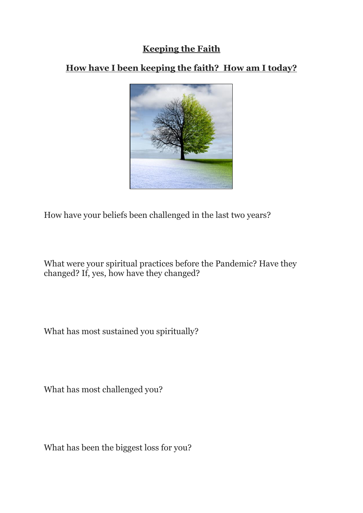## **Keeping the Faith**

## **How have I been keeping the faith? How am I today?**



How have your beliefs been challenged in the last two years?

What were your spiritual practices before the Pandemic? Have they changed? If, yes, how have they changed?

What has most sustained you spiritually?

What has most challenged you?

What has been the biggest loss for you?